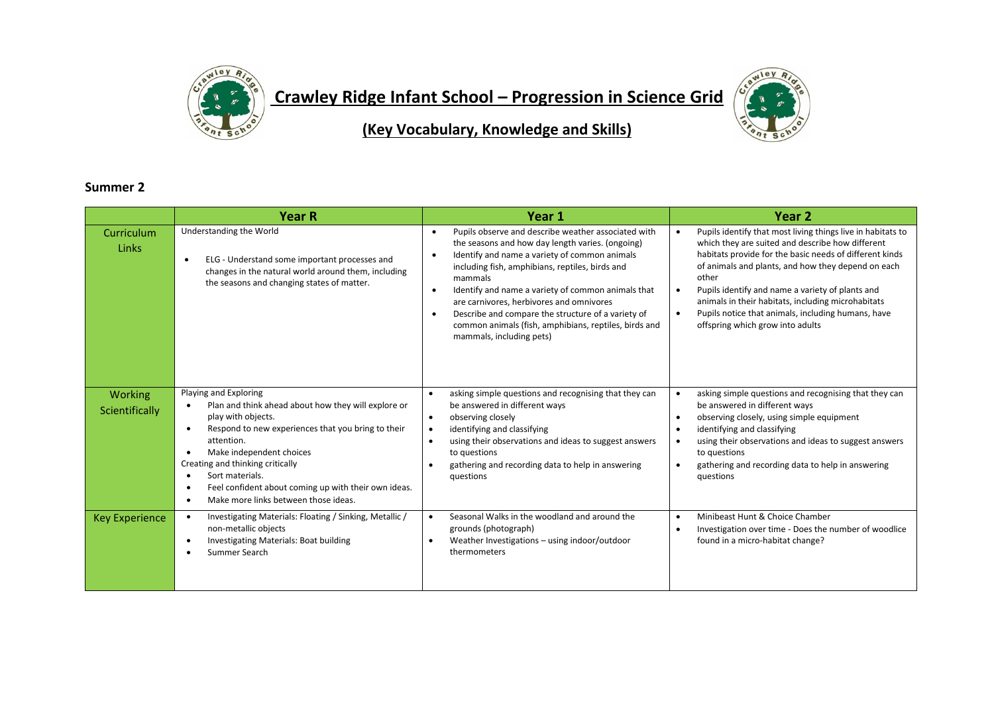

**Crawley Ridge Infant School – Progression in Science Grid** 



**(Key Vocabulary, Knowledge and Skills)**

## **Summer 2**

|                                  | <b>Year R</b>                                                                                                                                                                                                                                                                                                                                                                                                              | Year 1                                                                                                                                                                                                                                                                                                                                                                                                                                                                                                     | Year <sub>2</sub>                                                                                                                                                                                                                                                                                                                                                                                                                                                       |
|----------------------------------|----------------------------------------------------------------------------------------------------------------------------------------------------------------------------------------------------------------------------------------------------------------------------------------------------------------------------------------------------------------------------------------------------------------------------|------------------------------------------------------------------------------------------------------------------------------------------------------------------------------------------------------------------------------------------------------------------------------------------------------------------------------------------------------------------------------------------------------------------------------------------------------------------------------------------------------------|-------------------------------------------------------------------------------------------------------------------------------------------------------------------------------------------------------------------------------------------------------------------------------------------------------------------------------------------------------------------------------------------------------------------------------------------------------------------------|
| Curriculum<br>Links              | Understanding the World<br>ELG - Understand some important processes and<br>changes in the natural world around them, including<br>the seasons and changing states of matter.                                                                                                                                                                                                                                              | Pupils observe and describe weather associated with<br>$\bullet$<br>the seasons and how day length varies. (ongoing)<br>Identify and name a variety of common animals<br>$\bullet$<br>including fish, amphibians, reptiles, birds and<br>mammals<br>Identify and name a variety of common animals that<br>$\bullet$<br>are carnivores, herbivores and omnivores<br>Describe and compare the structure of a variety of<br>common animals (fish, amphibians, reptiles, birds and<br>mammals, including pets) | Pupils identify that most living things live in habitats to<br>$\bullet$<br>which they are suited and describe how different<br>habitats provide for the basic needs of different kinds<br>of animals and plants, and how they depend on each<br>other<br>Pupils identify and name a variety of plants and<br>$\bullet$<br>animals in their habitats, including microhabitats<br>Pupils notice that animals, including humans, have<br>offspring which grow into adults |
| <b>Working</b><br>Scientifically | Playing and Exploring<br>Plan and think ahead about how they will explore or<br>play with objects.<br>Respond to new experiences that you bring to their<br>$\bullet$<br>attention.<br>Make independent choices<br>$\bullet$<br>Creating and thinking critically<br>Sort materials.<br>$\bullet$<br>Feel confident about coming up with their own ideas.<br>$\bullet$<br>Make more links between those ideas.<br>$\bullet$ | asking simple questions and recognising that they can<br>$\bullet$<br>be answered in different ways<br>observing closely<br>$\bullet$<br>identifying and classifying<br>using their observations and ideas to suggest answers<br>to questions<br>gathering and recording data to help in answering<br>questions                                                                                                                                                                                            | asking simple questions and recognising that they can<br>$\bullet$<br>be answered in different ways<br>observing closely, using simple equipment<br>$\bullet$<br>identifying and classifying<br>$\bullet$<br>using their observations and ideas to suggest answers<br>$\bullet$<br>to questions<br>gathering and recording data to help in answering<br>questions                                                                                                       |
| <b>Key Experience</b>            | Investigating Materials: Floating / Sinking, Metallic /<br>$\bullet$<br>non-metallic objects<br>Investigating Materials: Boat building<br>Summer Search                                                                                                                                                                                                                                                                    | Seasonal Walks in the woodland and around the<br>$\bullet$<br>grounds (photograph)<br>Weather Investigations - using indoor/outdoor<br>thermometers                                                                                                                                                                                                                                                                                                                                                        | Minibeast Hunt & Choice Chamber<br>$\bullet$<br>Investigation over time - Does the number of woodlice<br>$\bullet$<br>found in a micro-habitat change?                                                                                                                                                                                                                                                                                                                  |